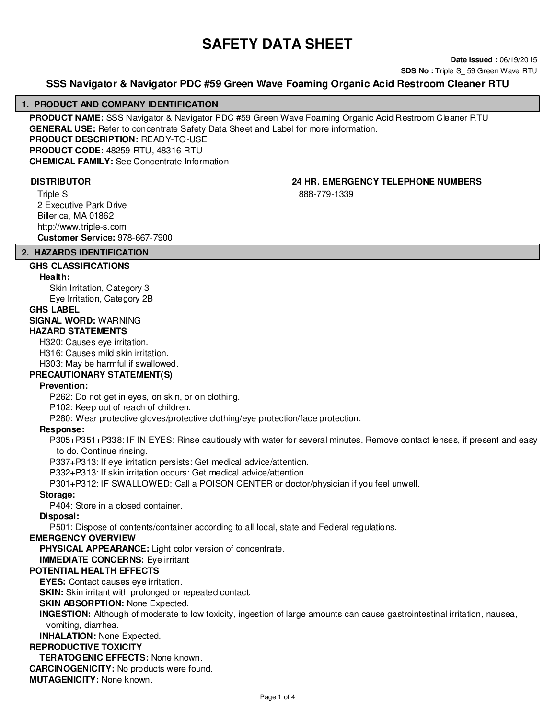# **SAFETY DATA SHEET**

**Date Issued :** 06/19/2015 **SDS No : Triple S** 59 Green Wave RTU

# **SSS Navigator & Navigator PDC #59 Green Wave Foaming Organic Acid Restroom Cleaner RTU**

#### **1. PRODUCT AND COMPANY IDENTIFICATION**

**PRODUCT NAME:** SSS Navigator & Navigator PDC #59 Green Wave Foaming Organic Acid Restroom Cleaner RTU **GENERAL USE:** Refer to concentrate Safety Data Sheet and Label for more information. **PRODUCT DESCRIPTION:** READY-TO-USE **PRODUCT CODE:** 48259-RTU, 48316-RTU **CHEMICAL FAMILY:** See Concentrate Information

Triple S 2 Executive Park Drive Billerica, MA 01862 http://www.triple-s.com **Customer Service:** 978-667-7900

**DISTRIBUTOR 24 HR. EMERGENCY TELEPHONE NUMBERS** 888-779-1339

# **2. HAZARDS IDENTIFICATION**

# **GHS CLASSIFICATIONS**

**Health:**

Skin Irritation, Category 3 Eye Irritation, Category 2B

# **GHS LABEL**

# **SIGNAL WORD:** WARNING **HAZARD STATEMENTS**

H320: Causes eye irritation. H316: Causes mild skin irritation.

H303: May be harmful if swallowed.

**PRECAUTIONARY STATEMENT(S)**

# **Prevention:**

P262: Do not get in eyes, on skin, or on clothing.

P102: Keep out of reach of children.

P280: Wear protective gloves/protective clothing/eye protection/face protection.

# **Response:**

P305+P351+P338: IF IN EYES: Rinse cautiously with water for several minutes. Remove contact lenses, if present and easy to do. Continue rinsing.

P337+P313: If eye irritation persists: Get medical advice/attention.

P332+P313: If skin irritation occurs: Get medical advice/attention.

P301+P312: IF SWALLOWED: Call a POISON CENTER or doctor/physician if you feel unwell.

# **Storage:**

P404: Store in a closed container.

# **Disposal:**

P501: Dispose of contents/container according to all local, state and Federal regulations.

#### **EMERGENCY OVERVIEW**

**PHYSICAL APPEARANCE:** Light color version of concentrate.

**IMMEDIATE CONCERNS:** Eye irritant

# **POTENTIAL HEALTH EFFECTS**

**EYES:** Contact causes eye irritation.

**SKIN:** Skin irritant with prolonged or repeated contact.

# **SKIN ABSORPTION: None Expected.**

**INGESTION:** Although of moderate to low toxicity, ingestion of large amounts can cause gastrointestinal irritation, nausea, vomiting, diarrhea.

**INHALATION:** None Expected.

# **REPRODUCTIVE TOXICITY**

**TERATOGENIC EFFECTS:** None known.

**CARCINOGENICITY:** No products were found.

**MUTAGENICITY:** None known.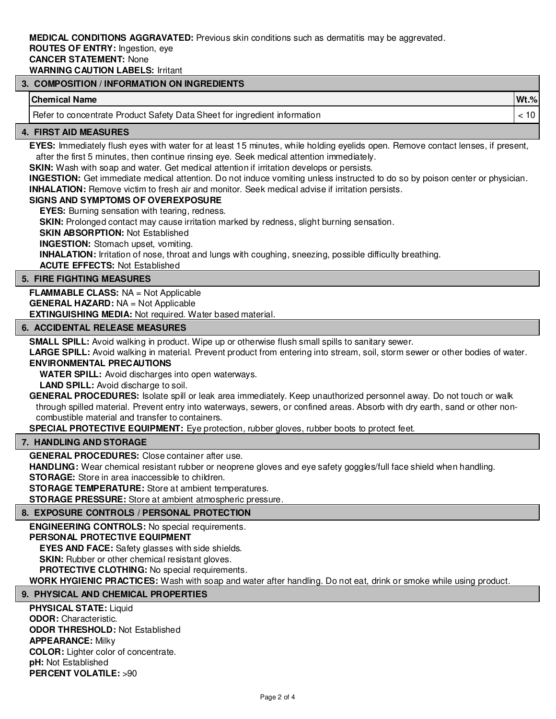**MEDICAL CONDITIONS AGGRAVATED:** Previous skin conditions such as dermatitis may be aggrevated.

#### **ROUTES OF ENTRY:** Ingestion, eye **CANCER STATEMENT:** None

**WARNING CAUTION LABELS:** Irritant

# **3. COMPOSITION / INFORMATION ON INGREDIENTS**

# **Chemical Name Wt.%**

Refer to concentrate Product Safety Data Sheet for ingredient information  $\vert$  < 10

#### **4. FIRST AID MEASURES**

**EYES:** Immediately flush eyes with water for at least 15 minutes, while holding eyelids open. Remove contact lenses, if present, after the first 5 minutes, then continue rinsing eye. Seek medical attention immediately.

**SKIN:** Wash with soap and water. Get medical attention if irritation develops or persists.

**INGESTION:** Get immediate medical attention. Do not induce vomiting unless instructed to do so by poison center or physician. **INHALATION:** Remove victim to fresh air and monitor. Seek medical advise if irritation persists.

# **SIGNS AND SYMPTOMS OF OVEREXPOSURE**

**EYES:** Burning sensation with tearing, redness.

**SKIN:** Prolonged contact may cause irritation marked by redness, slight burning sensation.

**SKIN ABSORPTION:** Not Established

**INGESTION:** Stomach upset, vomiting.

**INHALATION:** Irritation of nose, throat and lungs with coughing, sneezing, possible difficulty breathing.

**ACUTE EFFECTS:** Not Established

#### **5. FIRE FIGHTING MEASURES**

**FLAMMABLE CLASS:** NA = Not Applicable **GENERAL HAZARD:** NA = Not Applicable **EXTINGUISHING MEDIA:** Not required. Water based material.

#### **6. ACCIDENTAL RELEASE MEASURES**

**SMALL SPILL:** Avoid walking in product. Wipe up or otherwise flush small spills to sanitary sewer.

**LARGE SPILL:** Avoid walking in material. Prevent product from entering into stream, soil, storm sewer or other bodies of water.

# **ENVIRONMENTAL PRECAUTIONS**

**WATER SPILL:** Avoid discharges into open waterways.

**LAND SPILL:** Avoid discharge to soil.

**GENERAL PROCEDURES:** Isolate spill or leak area immediately. Keep unauthorized personnel away. Do not touch or walk through spilled material. Prevent entry into waterways, sewers, or confined areas. Absorb with dry earth, sand or other noncombustible material and transfer to containers.

**SPECIAL PROTECTIVE EQUIPMENT:** Eye protection, rubber gloves, rubber boots to protect feet.

# **7. HANDLING AND STORAGE**

**GENERAL PROCEDURES:** Close container after use.

**HANDLING:** Wear chemical resistant rubber or neoprene gloves and eye safety goggles/full face shield when handling.

**STORAGE:** Store in area inaccessible to children.

**STORAGE TEMPERATURE:** Store at ambient temperatures.

**STORAGE PRESSURE:** Store at ambient atmospheric pressure.

# **8. EXPOSURE CONTROLS / PERSONAL PROTECTION**

**ENGINEERING CONTROLS:** No special requirements.

#### **PERSONAL PROTECTIVE EQUIPMENT**

**EYES AND FACE:** Safety glasses with side shields.

**SKIN:** Rubber or other chemical resistant gloves.

**PROTECTIVE CLOTHING:** No special requirements.

**WORK HYGIENIC PRACTICES:** Wash with soap and water after handling. Do not eat, drink or smoke while using product.

# **9. PHYSICAL AND CHEMICAL PROPERTIES**

**PHYSICAL STATE: Liquid ODOR:** Characteristic. **ODOR THRESHOLD:** Not Established **APPEARANCE:** Milky **COLOR:** Lighter color of concentrate. **pH:** Not Established **PERCENT VOLATILE:** >90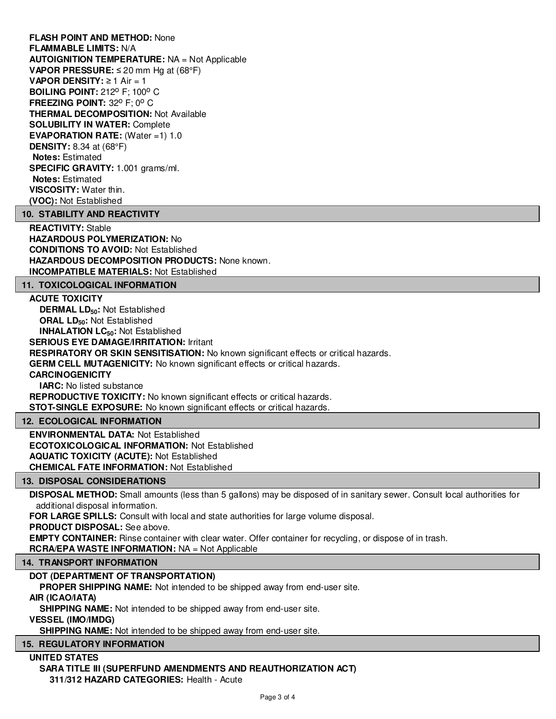**FLASH POINT AND METHOD:** None **FLAMMABLE LIMITS:** N/A **AUTOIGNITION TEMPERATURE:** NA = Not Applicable **VAPOR PRESSURE:** ≤ 20 mm Hg at (68°F) **VAPOR DENSITY:** ≥ 1 Air = 1 **BOILING POINT: 212° F; 100° C FREEZING POINT: 32° F: 0° C THERMAL DECOMPOSITION:** Not Available **SOLUBILITY IN WATER:** Complete **EVAPORATION RATE:** (Water =1) 1.0 **DENSITY:** 8.34 at (68°F) **Notes:** Estimated **SPECIFIC GRAVITY:** 1.001 grams/ml. **Notes:** Estimated **VISCOSITY:** Water thin. **(VOC):** Not Established

#### **10. STABILITY AND REACTIVITY**

**REACTIVITY:** Stable **HAZARDOUS POLYMERIZATION:** No **CONDITIONS TO AVOID:** Not Established **HAZARDOUS DECOMPOSITION PRODUCTS:** None known. **INCOMPATIBLE MATERIALS:** Not Established

#### **11. TOXICOLOGICAL INFORMATION**

#### **ACUTE TOXICITY**

**DERMAL LD50:** Not Established **ORAL LD50:** Not Established **INHALATION LC50:** Not Established **SERIOUS EYE DAMAGE/IRRITATION:** Irritant **RESPIRATORY OR SKIN SENSITISATION:** No known significant effects or critical hazards. **GERM CELL MUTAGENICITY:** No known significant effects or critical hazards. **CARCINOGENICITY IARC:** No listed substance **REPRODUCTIVE TOXICITY:** No known significant effects or critical hazards.

**STOT-SINGLE EXPOSURE:** No known significant effects or critical hazards.

#### **12. ECOLOGICAL INFORMATION**

**ENVIRONMENTAL DATA:** Not Established **ECOTOXICOLOGICAL INFORMATION:** Not Established **AQUATIC TOXICITY (ACUTE):** Not Established **CHEMICAL FATE INFORMATION:** Not Established

# **13. DISPOSAL CONSIDERATIONS**

**DISPOSAL METHOD:** Small amounts (less than 5 gallons) may be disposed of in sanitary sewer. Consult local authorities for additional disposal information.

**FOR LARGE SPILLS:** Consult with local and state authorities for large volume disposal.

**PRODUCT DISPOSAL:** See above.

**EMPTY CONTAINER:** Rinse container with clear water. Offer container for recycling, or dispose of in trash.

**RCRA/EPA WASTE INFORMATION:** NA = Not Applicable

#### **14. TRANSPORT INFORMATION**

#### **DOT (DEPARTMENT OF TRANSPORTATION)**

**PROPER SHIPPING NAME:** Not intended to be shipped away from end-user site.

#### **AIR (ICAO/IATA)**

**SHIPPING NAME:** Not intended to be shipped away from end-user site.

**VESSEL (IMO/IMDG)**

**SHIPPING NAME:** Not intended to be shipped away from end-user site.

# **15. REGULATORY INFORMATION**

#### **UNITED STATES SARA TITLE III (SUPERFUND AMENDMENTS AND REAUTHORIZATION ACT) 311/312 HAZARD CATEGORIES:** Health - Acute